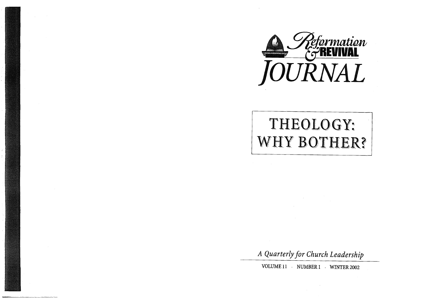

## THEOLOGY: **WHY BOTHER?**

*A Quarterly for Church Leadership* 

VOLUME **11** . NUMBER 1 . WINTER 2002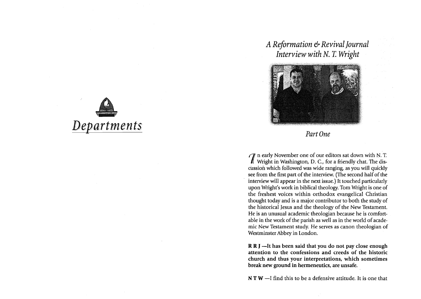

## *A Reformation* & *Revival Journal Interview with* N. T. *Wright*



## Part One

1 n early November one of our editors sat down with N. T. Wright in Washington, D. c., for a friendly chat. The discussion which followed was wide ranging, as you will quickly see from the first part of the interview. (The second half of the interview will appear in the next issue.) It touched particularly upon Wright's work in biblical theology. Tom Wright is one of the freshest voices within orthodox evangelical Christian thought today and is a major contributor to both the study of the historical Jesus and the theology of the New Testament. He is an unusual academic theologian because he is comfortable in the work of the parish as well as in the world of academic New Testament study. He serves as canon theologian of Westminster Abbey in London.

R R J -It has been said that you do not pay close enough attention to the confessions and creeds of the historic church and thus your interpretations, which sometimes break new ground in hermeneutics, are unsafe.

 $N T W - I$  find this to be a defensive attitude. It is one that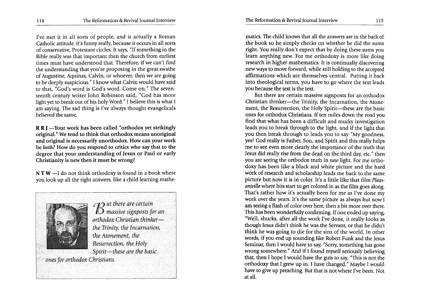I've met it in all sorts of people, and is actually a Roman Catholic attitude. It's funny really, because it occurs in all sorts of conservative, Protestant circles. It says, "If something in the Bible really was that important then the church from earliest times must have understood that. Therefore, if we can't find the understanding that you're proposing in the great swathe of Augustine, Aquinas, Calvin, or whoever, then we are going to be deeply suspicious." I know what Calvin would have said to that, "God's word is God's word. Come on." The seventeenth century writer John Robinson said, "God has more light yet to break out of his holy Word." I believe this is what I am saying. The sad thing is I've always thought evangelicals believed the same.

**R R J** -Your work has been called "orthodox yet strikingly original." We tend to think that orthodox means unoriginal and original is necessarily unorthodox. How can your work be *both?* How do you respond to critics who say that to the degree that your understanding of Jesus or Paul or early Christianity is new then it must be wrong?

 $N T W - I$  do not think orthodoxy is found in a book where you look up all the right answers, like a child learning mathe-



*I/O ut there are certain*  llJ *massive signposts for an orthodox Christian thinker the'Trinity, the Incarnation, the Atonement, the Resurrection, the Holy Spirit-these are the basic* 

*>onesfor orthodox Christians.* 

matics. The child knows that all the answers are in the back of the book so he simply checks on whether he did the sums right. You really don't expect that by doing these sums you 'learn anything new. For me orthodoxy is more like doing research in higher mathematics. It is continually discovering new ways to move forward, while still holding to the accepted affirmations which are themselves central. Putting it back into theological terms, you have to go where the text leads you because the text is the text.

But there are certain massive signposts for an orthodox Christian thinker-the Trinity, the Incarnation, the Atonement, the Resurrection, the Holy Spirit-these are the basic ones for orthodox Christians. If ten miles down the road you find that what has been a difficult and murky investigation leads you to break through to the light, and if the light that you then break through to leads you to say" My goodness, yes! God really is Father, Son, and Spirit and this really helps me to see even more clearly the importance of the truth that Jesus did really rise from the dead on the third day, etc." then you are seeing the orthodox truth in *new* light. For me orthodoxy has been like a black and white picture and the hard work of research and scholarship leads me back to the same picture but now it is in color. It's a little like that film *Pleasantville* where bits start to get colored in as the film goes along. That's rather how it's actually been for me as I've done my work over the years. It's the same picture as always but now I am seeing a flash of color over here, then a bit more over there. This has been wonderfully confirming. If one ended up saying, "Well, shucks, after all the work I've done, it really looks as though Jesus didn't think he was the Servant, or that he didn't think he was going to die for the sins of the world. In other words, if you end up sounding like Robert Funk and the Jesus Seminar, then I would have to say, "Sorry, something has gone wrong somewhere." And if I found myself seriously believing that, then I hope I would have the guts to say, "This is not the orthodoxy that I grew up in. I have changed." Maybe I would have to give up preaching. But that is not where I've been. Not at all.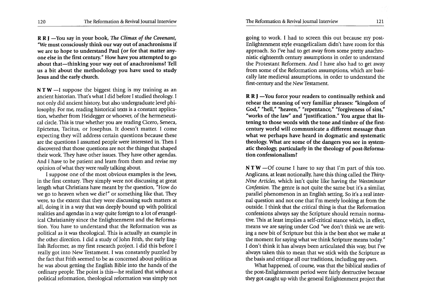R R J -You say in your book, *The Climax of the Covenant*, "We must consciously think our way out of anachronisms if we are to hope to understand Paul (or for that matter anyone else in the first century." How have you attempted to go about that-thinking your way out of anachronisms? Tell us a bit about the methodology you have used to study Jesus and the early church.

 $NTW - I$  suppose the biggest thing is my training as an ancient historian. That's what I did before I studied theology. I not only did ancient history, but also undergraduate level philosophy. For me, reading historical texts is a constant application, whether from Heidegger or whoever, of the hermeneutical circle. This is true whether you are reading Cicero, Seneca, Epictetus, Tacitus, or Josephus. It doesn't matter. I come expecting they will address certain questions because these are the questions I assumed people were interested in. Then I discovered that those questions are not the things that shaped their work. They have other issues. They have other agendas. And I have to be patient and learn from them and revise my opinion of what they were *really* talking about.

I suppose one of the most obvious examples is the Jews, in the first century. They simply were not discussing at great length what Christians have meant by the question, "How do we go to heaven when we die?" or something like that. They were, to the extent that they were discussing such matters at all, doing it in a way that was deeply bound up with political realities and agendas in a way quite foreign to a lot of evangelical Christianity since the Enlightenment and the Reformation. You have to understand that the Reformation was as political as it was theological. This is actually an example in the other direction. I did a study of John Frith, the early English Reformer, as my first research project. I did this before I really got into New Testament. I was constantly puzzled by the fact that Frith seemed to be as concerned about politics as he was about getting the English Bible into the hands of the ordinary people. The point is this-he realized that without a political reformation, theological reformation was simply not

going to work. I had to screen this out because my post-Enlightenment style evangelicalism didn't have room for this approach. So I've had to get away from some pretty anachronistic eighteenth century assumptions in order to understand the Protestant Reformers. And I have also had to get away from some of the Reformation assumptions, which are basically late medieval assumptions, in order to understand the first-century and the New Testament.

 $R R J$  -You force your readers to continually rethink and rehear the meaning of very familiar phrases: "kingdom of God," "hell," "heaven," "repentance," "forgiveness of sins," "works of the law" and "justification." You argue that listening to those words with the tone and timbre of the firstcentury world will communicate a different message than what we perhaps have heard in dogmatic and systematic theology. What are some of the dangers you see in systematic theology, particularly in the theology of post-Reformation confessionalism?

 $N T W$  -Of course I have to say that I'm part of this too. Anglicans, at least notionally, have this thing called the *Thirty-Nine Articles,* which isn't quite like having the *Westminster Confession.* The genre is not quite the same but it's a similar, parallel phenomenon in an English setting. So it's a real internal question and not one that I'm merely looking at from the outside. I think that the critical thing is that the Reformation confessions always say the Scripture should remain normative. This at least implies a self-critical stance which, in effect, means we are saying under God "we don't think we are writing a new bit of Scripture but this is the best shot we make at the moment for saying what we think Scripture means today." I don't think it has always been articulated this way, but I've always taken this to mean that we stick with the Scripture as the basis and critique all our traditions, including my own.

What happened, of course, was that the biblical studies of the post-Enlightenment period were fairly destructive because they got caught up with the general Enlightenment project that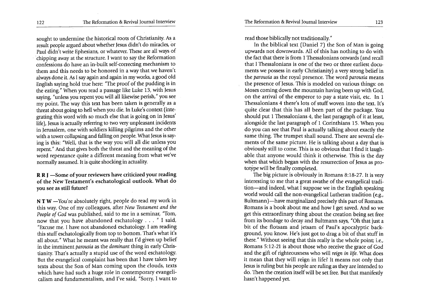sought to undermine the historical roots of Christianity. As a result people argued about whether Jesus didn't do miracles, or Paul didn't write Ephesians, or whatever. These are all ways of chipping away at the structure. I want to say the Reformation confessions do have an in-built self-correcting mechanism to them and this needs to be honored in a way that we haven't always done it. As I say again and again in my works, a good old English saying hold true here: "The proof of the pudding is in the eating." When you read a passage like Luke 13, with Jesus saying, "unless you repent you will all likewise perish," you see my point. The way this text has been taken is generally as a threat about going to hell when you die. In Luke's context (integrating this word with so much else that is going on in Jesus' life), Jesus is actually referring to two very unpleasant incidents in Jerusalem, one with soldiers killing pilgrims and the other with a tower collapsing and falling on people. What Jesus is saying is this: "Well, that is the way you will all die unless you repent." And that gives both the threat and the meaning of the word repentance quite a different meaning from what we've normally assumed. It is quite shocking in actuality.

R R I -Some of your reviewers have criticized your reading of the New Testament's eschatological outlook. What do you see as still future?

NTW-You're absolutely right, people do read my work in this way. One of my colleagues, after *New Testament and the People of God* was published, said to me in a seminar, "Tom, now that you have abandoned eschatology . . . " I said, "Excuse me. I have not abandoned eschatology. I am reading this stuff eschatologically from top to bottom. That's what it's all about." What he meant was really that I'd given up belief in the imminent *parousia* as the *dominant* thing in early Christianity. That's actually a stupid use of the word eschatology. But the evangelical complaint has been that I have taken key texts about the Son of Man coming upon the clouds, texts which have had such a huge role in contemporary evangelicalism and fundamentalism, and I've said, "Sorry, I want to

read those biblically not traditionally."

In the biblical text (Daniel 7) the Son of Man is going upwards not downwards. All of this has nothing to do with the fact that there is from 1 Thessalonians onwards (and recall that I Thessalonians is one of the two or three earliest documents we possess in early Christianity) a very strong belief in the *parousia* as the royal presence. The word *parousia* means the presence of Jesus. This is modeled on various things: on Moses coming down the mountain having been up with God, on the arrival of the emperor to pay a state visit, etc. In 1 Thessalonians 4 there's lots of stuff woven into the text. It's quite clear that this has all been part of the package. You should put 1 Thessalonians 4, the last paragraph of it at least, alongside the last paragraph of 1 Corinthians 15. When you do you can see that Paul is actually talking about exactly the same thing. The trumpet shall sound. There are several elements of the same picture. He is talking about a day that is obviously still to come. This is so obvious that I find it laughable. that anyone would think it otherwise. This is the day when that which began with the resurrection of Jesus as prototype will be finally completed.

The big picture is obviously in Romans 8:18-27. It is very interesting to me that a great swathe of the evangelical tradition-and indeed, what I suppose we in the English speaking world would call the non-evangelical Lutheran tradition (e.g., Bultmann)—have marginalized precisely this part of Romans. Romans is a book about me and how I get saved. And so we get this extraordinary thing about the creation being set free from its bondage to decay and Bultmann says, "Oh that just a bit of the flotsam and jetsam of Paul's apocalyptic background, you know. He's just got to drag a bit of that stuff in there." Without seeing that this really is the whole point; i.e., Romans 5:12-21 is about those who receive the grace of God and the gift of righteousness who will *reign in life.* What does it mean that they will reign in life? It means not only that Jesus is ruling but his people are ruling as they are intended to do. Then the creation itself will be set free. But that manifestly hasn't happened yet.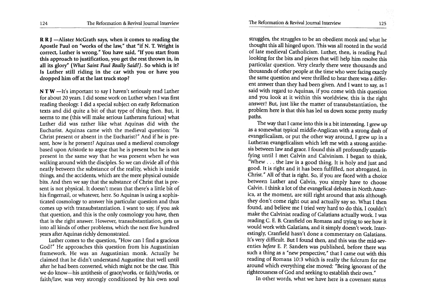R R I -Alister McGrath says, when it comes to reading the Apostle Paul on "works of the law," that "if N. T. Wright is correct, Luther is wrong." You have said, "If you start from this approach to justification, you get the rest thrown in, in all its glory" *(What Saint Paul Really Said?).* So which is it? Is Luther still riding in the car with you or have you dropped him off at the last truck stop?

NTW-It's important to say I haven't seriously read Luther for about 20 years. I did some work on Luther when I was first reading theology. I did a special subject on early Reformation texts and did quite a bit of that type of thing then. But, it seems to me (this will make serious Lutherans furious) what Luther did was rather like what Aquinas did with the Eucharist. Aquinas came with the medieval question: "Is Christ present or absent in the Eucharist?" And if he is present, how is he present? Aquinas used a medieval cosmology based upon Aristotle to argue that he is present but he is not present in the same way that he was present when he was walking around with the disciples. So we can divide all of this neatly between the substance of the reality, which is inside things, and the accidents, which are the mere physical outside bits. And then we say that the substance of Christ that is present is not physical. It doesn't mean that there's a little bit of his fingernail, or whatever, here. So Aquinas is using a sophisticated cosmology to answer his particular question and thus comes up with transubstantiation. I want to say, if you ask that question, and this is the only cosmology you have, then that is the right answer. However, transubstantiation, gets us into all kinds of other problems, which the next five hundred years after Aquinas richly demonstrated.

Luther comes to the question, "How can I find a gracious God?" He approaches this question from his Augustinian framework. He was an Augustinian monk. Actually he claimed that he didn't understand Augustine that well until after he had been converted, which might not be the case. This we do know-his antithesis of grace/works, or faith/works, or faith/law, was very strongly conditioned by his own soul

struggles, the struggles to be an obedient monk and what he thought this all hinged upon. This was all rooted in the world of late medieval Catholicism. Luther, then, is reading Paul looking for the bits and pieces that will help him resolve this particular question. Very clearly there were thousands and thousands of other people at the time who were facing exactly the same question and were thrilled to hear there was a different answer than they had been given. And I want to say, as I said with regard to Aquinas, if you come with this question and you look at it within this worldview, this is the right answer! But, just like the matter of transubstantiation, the problem here is that this has led us down some pretty murky paths.

The way that I came into this is a bit interesting. I grew up as a somewhat typical middle-Anglican with a strong dash of evangelicalism, or put the other way around, I grew up in a Lutheran evangelicalism which left me with a strong antithesis between law and grace. I found this all profoundly unsatisfying until I met Calvin and Calvinism. I began to think, "Whew . . . the law is a good thing. It is holy and just and good. It is right and it has been fulfilled, not abrogated, in Christ." All of that is right. So, if you are faced 'with a choice between Luther and Calvin, you simply have to choose Calvin. I think a lot of the evangelical debates in North America, at the moment, are still right around that axis although they don't come right out and actually say so. What I then found, and believe me I tried very hard to do this, I couldn't make the Calvinist reading of Galatians actually work. I was reading C. E. B. Cranfield on Romans and trying to see how it would work with Galatians, and it simply doesn't work. Interestingly, Cranfield hasn't done a commentary on Galatians. It's very difficult. But I found then, and this was the mid-seventies *before* E. P. Sanders was published, before there was such a thing as a "new perspective," that I came out with this reading of Romans 10:3 which is really the fulcrum for me around which everything else moved: "Being ignorant of the righteousness of God and seeking to establish their own."

In other words, what we have here is a covenant status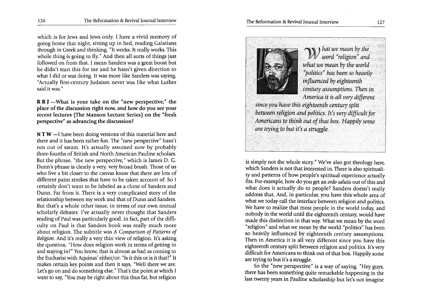which is for Jews and Jews only. I have a vivid memory of going home that night, sitting up in bed, reading Galatians through in Greek and thinking, "It works. It really works. This whole thing is going to fly." And then all sorts of things just followed on from that. I mean Sanders was a great boost but he didn't start this for me and he hasn't given direction to what I did or was doing. It was more like Sanders was saying, "Actually first-century Judaism never was like what Luther said it was."

 $R R$  J -What is your take on the "new perspective," the place of the discussion right now, and how do you see your recent lectures (The Manson Lecture Series) on the "fresh perspective" as advancing the discussion?

 $N T W - I$  have been doing versions of this material here and there and it has been rather fun. The "new perspective" hasn't run out of steam. It's actually assumed now by probably three-fourths of British and North American Pauline scholars. But the phrase, "the new perspective," which is James D. G. Dunn's phrase is clearly a very, very broad brush. Those of us who live a bit closer to the canvas know that there are lots of different paint strokes that have to be taken account of. So I certainly don't want to be labeled as a clone of Sanders and Dunn. Far from it. There is a very complicated story of the relationship between my work and that of Dunn and Sanders. But that's a whole other issue, in terms of our own mutual scholarly debates. I've actually never thought that Sanders reading of Paul was particularly good. In fact, part of the difficulty on Paul is that Sanders book was really much more about religion. The subtitle was *A Comparison of Patterns of Religion.* And it's really a very thin view of religion. It's asking the question, "How does religion work in terms of getting in and staying in?" You know, that is almost as bad as coming to the Eucharist with Aquinas' either/or: "Is it this or is it that?" It makes certain key points and then it says, "Well there we are. Let's go on and do something else." That's the point at which I want to say, "You may be right about this thus far, but religion



 $\mathbb{Z}/N$  *hat we mean by the word "religion" and what we mean by the world* . *"politics" h'as been so heavily . tnfluen¢edby eighteenth* '. ' century assumptions. Then in *Amer'icait is all verydifferent* 

since you have this eighteenth century split between religion and politics. It's very difficult for *Americans to think out of that box. Happily some* are trying to but it's a struggle.

is simply not the whole story." We've also got theology here, which Sanders is not that interested in. There is also spirituality and patterns of how people's spiritual experience actually fits. For example, how do you get an *ordo salutis* out of this and what does it actually do to people? Sanders doesn't really address that. And, in particular, you have this whole area of what we today call the interface between religion and politics. We have to realize that most people in the world today, and nobody in the world until the eighteenth century, would have made this distinction in that way. What we mean by the word "religion" and what we mean by the world "politics" has been so heavily influenced by eighteenth century assumptions. Then in America it is all very different since you have this eighteenth century split between religion and politics. It's very difficult for Americans to think out of that box. Happily some are trying to but it's a struggle.

So the "new perspective" is a way of saying, "Hey guys, there has been something quite remarkable happening in the last twenty years in Pauline scholarship but let's not imagine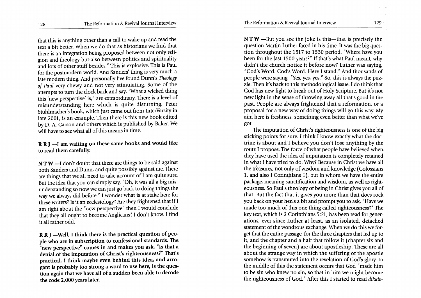that this is anything other than a call to wake up and read the text a bit better. When we do that as historians we find that there is an integration being proposed between not only religion and theology but also between politics and spirituality and lots of other stuff besides." This is explosive. This is Paul for the postmodern world. And Sanders' thing is very much a late modern thing. And personally I've found Dunn's *Theology of Paul* very chewy and not very stimulating. Some of the attempts to turn the clock back and say, "What a wicked thing this 'new perspective' is," are extraordinary. There is a level of misunderstanding here which is quite disturbing. Peter Stuhlmacher's book, which just came out from InterVarsity in late 2001, is an example. Then there is this new book edited by D. A. Carson and others which is published by Baker. We will have to see what all of this means in time.

## R R J -I am waiting on these same books and would like to read them carefully.

 $NTW - I$  don't doubt that there are things to be said against both Sanders and Dunn, and quite possibly against me. There are things that we all need to take account of I am quite sure. But the idea that you can simply say, "Oh, it was all a big misunderstanding so now we can just go back to doing things the way we always did before." I wonder what is at stake here for these writers? Is it an ecclesiology? Are they frightened that if I am right about the "new perspective" then I would conclude that they all ought to become Anglicans? I don't know. I find it all rather odd.

 $R R J$  -Well, I think there is the practical question of people who are in subscription to confessional standards. The "new perspective" comes in and makes you ask, "Is that a denial of the imputation of Christ's righteousness?" That's practical. I think maybe even behind this idea, and arrogant is probably too strong a word to use here, is the question again that we have all of a sudden been able to decode the code 2,000 years later.

 $N T W$  -But you see the joke is this-that is precisely the question Martin Luther faced in his time. It was the big question throughout the 1517 to 1530 period. "Where have you been for the last 1500 years?" If that's what Paul meant, why didn't the church notice it before now? Luther was saying, "God's Word. God's Word. Here I stand." And thousands of people were saying, "Yes, yes, yes." So, this is always the puzzle. Then it's back to this methodological issue. I do think that God has new light to break out of Holy Scripture. But it's not new light in the sense of throwing away all that's good in the past. People are always frightened that a reformation, or a proposal for a new way of doing things will go this way. My aim here is freshness, something even better than what we've got.

The imputation of Christ's righteousness is one of the big sticking points for sure. I think I know exactly what the doctrine is about and I believe you don't lose anything by the route I propose. The force of what people have believed when they have used the idea of imputation is completely retained in what I have tried to do. Why? Because in Christ we have all the treasures, not only of wisdom and knowledge (Colossians 1, and also I Corinthians 1), but in whom we have the entire package, meaning sanctification and wisdom, as well as righteousness. So Paul's theology of being in Christ gives you all of that. But the fact that it gives you more than that does rock you back on your heels a bit and prompt you to ask, "Have we made too much of this one thing called righteousness?" The key text, which is 2 Corinthians 5:21, has been read for generations, ever since Luther at least, as an isolated, detached statement of the wondrous exchange. When we do this we forget that the entire passage, for the three chapters that led up to it, and the chapter and a half that follow it (chapter six and the beginning of seven) are about apostleship. These are all about the strange way in which the suffering of the apostle somehow is transmuted into the revelation of God's glory. In the middle of this the statement occurs that God "made him to be sin who knew no sin, so that in him we might become the righteousness of God." After this I started to read *dikaio-*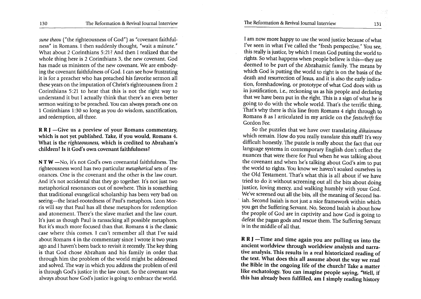*sune theou* ("the righteousness of God") as "covenant faithfulness" in Romans. I then suddenly thought, "wait a minute." What about 2 Corinthians 5:21? And then I realized that the whole thing here is 2 Corinthians 3, the new covenant. God has made us ministers of the new covenant. We are embodying the covenant faithfulness of God. I can see how frustrating it is for a preacher who has preached his favorite sermon all these years on the imputation of Christ's righteousness from 2 Corinthians 5:21 to hear that this is not the right way to understand it but I actually think that there's an even better sermon waiting to be preached. You can always preach one on 1 Corinthians 1 :30 so long as you do wisdom, sanctification, and redemption, all three.

R R J -Give us a preview of your Romans commentary, which is not yet published. Take, if you would, Romans 4. What is the *righteousness,* which is credited to Abraham's children? Is it God's own covenant faithfulness?

NTW -No, it's not God's own covenantal faithfulness. The righteousness word has two particular *metaphorical* sets of resonances. One is the covenant and the other is the law court. And it's not accidental that they go together. It's not just two metaphorical resonances out of nowhere. This is something that traditional evangelical scholarship has been very bad on seeing-the Israel-rootedness of Paul's metaphors. Leon Morris will say that Paul has all these metaphors for redemption and atonement. There's the slave market and the law court. It's just as though Paul is ransacking all possible metaphors. But it's much more focused than that. Romans 4 is the classic case where this comes. I can't remember all that I've said about Romans 4 in the commentary since I wrote it two years ago and I haven't been back to revisit it recently. The key thing is that God chose Abraham and his family in order that through him the problem of the world might be addressed and solved. The way in which you address the problem of evil is through God's justice in the law court. So the covenant was always about how God's justice is going to embrace the world.

I am now more happy to use the word justice because of what I've seen in what I've called the "fresh perspective." You see, this really is justice, by which I mean God putting the world to rights. So what happens when people believe is this-they are deemed to be part of the Abrahamic family. The means by which God is putting the world to right is on the basis of the death and resurrection of Jesus, and it is also the early indication, foreshadowing, or prototype of what God does with us in justification, i.e., reckoning us as his people and declaring that we have been put in the right. This is a sign of what he is going to do with the whole world. That's the terrific thing. That's why there is this line from Romans 4 right through to Romans 8 as I articulated in my article on the *festschrift* for Gordon Fee.

So the puzzles that we have over translating *dikaiosune*  which remain. How do you really translate this stuff? It's very difficult honestly. The puzzle is really about the fact that our language systems in contemporary English don't reflect the nuances that were there for Paul when he was talking about the covenant and when he's talking about God's aim to put the world to rights. You know we haven't soaked ourselves in the Old Testament. That's what this is all about if we have tried to do it without screening out all the bits about doing justice, loving mercy, and walking humbly with your God. We've screened out all the bits, all the meaning of Second Isa- . iah. Second Isaiah is not just a nice framework within which you get the Suffering Servant. No, Second Isaiah is about how the people of God are in captivity and how God is going to defeat the pagan gods and rescue them. The Suffering Servant is in the middle of all that.

R R J -Time and time again you are pulling us into the ancient worldview through worldview analysis and narrative analysis. This results in a real historicized reading of the text. What does this all assume about the way we read the Bible in the ongoing life of the church? Take a matter like eschatology. You can imagine people saying, "Well, if this has already been fulfilled, am I simply reading history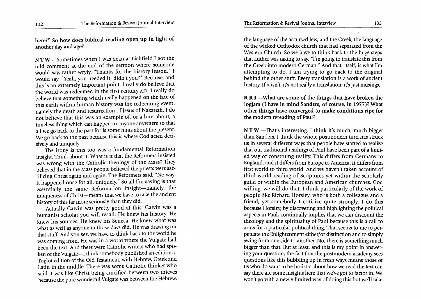here?" So how does biblical reading open up in light of another day and age?

N T W -Sometimes when I was dean at Lichfield I got the odd comment at the end of the sermon where someone would say, rather wryly, "Thanks for the history lesson." I would say, "Yeah, you needed it, didn't you?" Because, and this is an extremely important point, I really do believe that the world was redeemed in the first century A.D. I really do believe that something which really happened on the face of this earth within human history was the redeeming event, namely the death and resurrection of Jesus of Nazareth. I do not believe that this was an example of, or a hint about, a timeless thing which can happen to anyone anywhere so that all we go back to the past for is some hints about the present. We go back to the past because this is where God acted deci-

sively and uniquely.<br>The irony is this too was a fundamental Reformation insight. Think about it. What is it that the Reformers insisted was wrong with the Catholic theology of the Mass? They believed that in the Mass people believed the priests were sacrificing Christ again and again. The Reformers said, "No way. It happened once for all, uniquely." So all I'm saying is that essentially the same Reformation insight-namely, the uniqueness of Christ-means that we have to take the ancient history of this far more seriously than they did.

Actually Calvin was pretty good at this. Calvin was a humanist scholar you will recall. He knew his history. He knew his sources. He knew his Seneca. He knew what was what as well as anyone in those days did. He was drawing on that stuff. And you see, we have to think back to the world he was coming from. He was in a world where the Vulgate had been the text. And there were Catholic writers who had spoken of the Vulgate-I think somebody published an edition, a Triglot edition of the Old Testament, with Hebrew, Greek and Latin in the middle. There was some Catholic thinker who said it was like Christ being crucified between two thieves because the pure wonderful Vulgate was between the Hebrew,

the language of the accursed Jew, and the Greek, the language of the wicked Orthodox church that had separated from the Western Church. So we have to think back to the huge steps that Luther was taking to say, "I'm going to translate this from the Greek into modern German." And that, itself, is what I'm attempting to do. I am trying to go back to the original behind the other stuff. Every translation is a work of ancient history. If it isn't, it's not really a translation; it's just musings.

**R R J** —What are some of the things that have broken the logjam (I have in mind Sanders, of course, in 1977)? What other things have converged to make conditions ripe for the modern rereading of Paul?

 $NTW$  -That's interesting. I think it's much, much bigger than Sanders. I think the whole postmodern turn has struck us in several different ways that people have started to realize that our traditional readings of Paul have been part of a limited way of construing reality. This differs from Germany to England, and it differs from Europe to America. It differs from first world to third world. And we haven't taken account of third world reading of Scriptures yet within the scholarly guild or within the European and American churches. God willing, we will do that. I think particularly of the work of people like Richard Horsley, who is both a colleague and a friend, yet somebody I criticize quite strongly. I do this because Horsley, by discovering and highlighting the political aspects in Paul, continually implies that we can discount the theology and the spirituality of Paul because this is a call to arms for a particular political thing. That seems to me to perpetuate the Enlightenment either/or distinction and to simply swing from one side to another. No, there is something much bigger than that. But at least, and this is my point in answering your question, the fact that the postmodem academy sees questions like this bubbling up in fresh ways means those of us who do want to be holistic about how we read the text can say there are some insights here that we've got to factor in. We won't go with a newly limited way of doing this but we'll take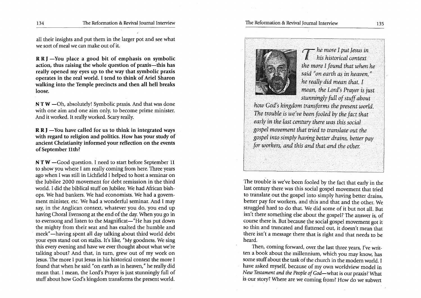all their insights and put them in the larger pot and see what we sort of meal we can make out of it.

 $R R J$  -You place a good bit of emphasis on symbolic action, thus raising the whole question of praxis—this has really opened my eyes up to the way that symbolic praxis operates in the real world. I tend to think of Ariel Sharon walking into the Temple precincts and then all hell breaks loose.

 $NTW - Oh$ , absolutely! Symbolic praxis. And that was done with one aim and one aim only, to become prime minister. And it worked. It really worked. Scary really.

 $R R J$  -You have called for us to think in integrated ways with regard to religion and politics, How has your study of ancient Christianity informed your reflection on the events of September 11th?

N T W -Good question. I need to start before September 11 to show you where I am really coming from here. Three years ago when I was still in Lichfield I helped to host a seminar on the Jubilee 2000 movement for debt remission in the third world. I did the biblical stuff on Jubilee. We had African bishops. We had bankers. We had economists. We had a government minister, etc. We had a wonderful seminar. And I may say, in the Anglican context, whatever you do, you end up having Choral Evensong at the end of the day. When you go in to evensong and listen to the Magnificat—"He has put down the mighty from their seat and has exalted the humble and meek"-having spent all day talking about third world debt your eyes stand out on stalks. It's like, "My goodness. We sing this every evening and have we ever thought about what we/re talking about? And that, in turn, grew out of my work on Jesus. The more I put Jesus in his historical context the more I found that when he said "on earth as in heaven," he really did mean that. I mean, the Lord's Prayer is just stunningly full of stuff about how *God/s* kingdom transforms the present world.



he more I put Jesus in his historical context *the more I found that when he* said "on earth as in heaven." he really did mean that, I .. *mean, the Lord's Prayer is just stunninglyfuU of stuffabout* 

*how Gdd's kingdom transforms thepresentwotld,*  The trouble is we've been fooled by the fact that early in the last century there was this social *gospel movement thattried to translate out the gospel intosimplyhaving better drains, better pay for workers, and this and that and the other.* 

The trouble is *we/ve* been fooled by the fact that early in the last century there was this social gospel movement that tried to translate out the gospel into simply having better drains, better pay for workers, and this and that and the other. We struggled hard to do that. We did some of it but not all. But isn't there something else about the gospel? The answer is, of course there is. But because the social gospel movement got it so thin and truncated and flattened out, it doesn't mean that there isn't a message there that is right and that needs to be heard.

Then, coming forward, over the last three years, I've written a book about the millennium, which you may know, has some stuff about the task of the church in the modern world. I have asked myself, because of my own worldview model in *New Testament and the People of God-what* is our praxis? What is our story? Where are we coming from? How do we subvert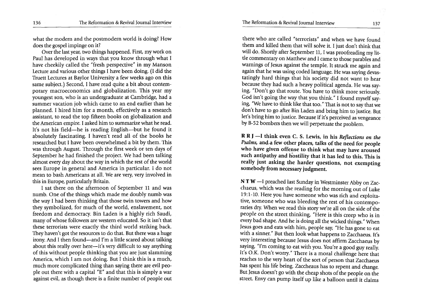The Reformation & Revival Journal Interview 137

what the modern and the postmodern world is doing? How does the gospel impinge on it?

Over the last year, two things happened. First, my work on Paul has developed in ways that you know through what I have cheekily called the "fresh perspective" in my Manson Lecture and various other things I have been doing. (I did the Truett Lectures at Baylor University a few weeks ago on this same subject.) Second, I have read quite a bit about contemporary macroeconomics and globalization. This year my youngest son, who is an undergraduate at Cambridge, had a summer vacation job which came to an end earlier than he planned. I hired him for a month, effectively as a research assistant, to read the top fifteen books on globalization and the American empire. I asked him to summarize what he read. It's not his field-he is reading English-but he found it absolutely fascinating. I haven't read all of the books he researched but I have been overwhelmed a bit by them. This was through August. Through the first week or ten days of September he had finished the project. We had been talking almost every day about the way in which the rest of the world sees Europe in general and America in particular. I do not mean to bash Americans at all. We are very, very involved in this in Europe, particularly Britain.

I sat there on the afternoon of September 11 and was numb. One of the things which made me doubly numb was the way I had been thinking that those twin towers and how they symbolized, for much of the world, enslavement, not freedom and democracy. Bin Laden is a highly rich Saudi, many of whose followers are western educated. So it isn't that these terrorists were exactly the third world striking back. They haven't got the resources to do that. But there was a huge irony. And I then found-and I'm a little scared about talking about this really over here—it's very difficult to say anything of this without people thinking that you are just slamming America, which I am not doing. But I think this is a much, much more complicated thing than saying there are evil people out there with a capital "E" and that this is simply a war against evil, as though there is a finite number of people out

there who are called "terrorists" and when we have found them and killed them that will solve it. I just don't think that will do. Shortly after September 11, I was proofreading my little commentary on Matthew and I came to those parables and warnings of Jesus against the temple. It struck me again and again that he was using coded language. He was saying devastatingly hard things that his society did not want to hear because they had such a heavy political agenda. He was saying, "Don't go that route. You have to think more seriously. God isn't going the way that you think." I found myself saying, "We have to think like that too." That is not to say that we don't have to go after Bin Laden and bring him to justice. But let's bring him to justice. Because if it's perceived as vengeance by B-52 bombers then we will perpetuate the problem.

R R J -I think even C. S. Lewis, in his *Reflections on the Psalms,* and-a few other places, talks of the need for people who have given offense to think what may have aroused such antipathy and hostility that it has led to this. This is really just asking the harder questions, not exempting somebody from necessary judgment.

N T W -I preached last Sunday in Westminster Abby on Zacchaeus, which was the reading for the morning out of Luke 19:1-10. Here you have someone who was rich and exploitative, someone who was bleeding the rest of his contemporaries dry. When we read this story we're all on the side of the people on the street thinking, "Here is this creep who is in every bad shape. And he is doing all the wicked things." When Jesus goes and eats with him, people say, "He has gone to eat with a sinner." But then look what happens to Zacchaeus. It's very interesting because Jesus does not affirm Zacchaeus by saying, "I'm coming to eat with you. You're a good guy really. It's O.K. Don't worry." There is a moral challenge here that reaches to the very heart of the sort of person that Zacchaeus has spent his life being. Zaccheaus has to repent and change. But Jesus doesn't go with the cheap shots of the people on the street. Envy can pump itself up like a balloon until it claims